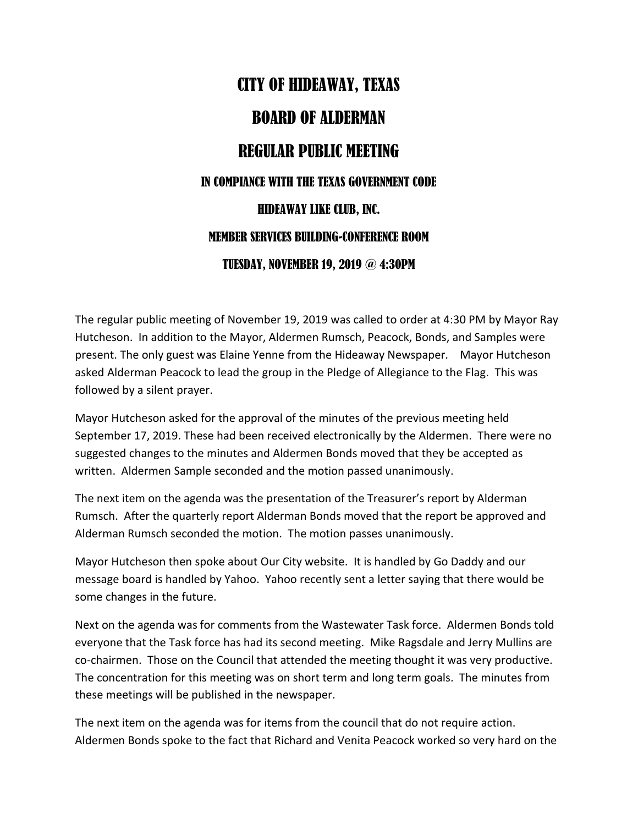## CITY OF HIDEAWAY, TEXAS BOARD OF ALDERMAN REGULAR PUBLIC MEETING IN COMPIANCE WITH THE TEXAS GOVERNMENT CODE HIDEAWAY LIKE CLUB, INC. MEMBER SERVICES BUILDING-CONFERENCE ROOM TUESDAY, NOVEMBER 19, 2019 @ 4:30PM

The regular public meeting of November 19, 2019 was called to order at 4:30 PM by Mayor Ray Hutcheson. In addition to the Mayor, Aldermen Rumsch, Peacock, Bonds, and Samples were present. The only guest was Elaine Yenne from the Hideaway Newspaper. Mayor Hutcheson asked Alderman Peacock to lead the group in the Pledge of Allegiance to the Flag. This was followed by a silent prayer.

Mayor Hutcheson asked for the approval of the minutes of the previous meeting held September 17, 2019. These had been received electronically by the Aldermen. There were no suggested changes to the minutes and Aldermen Bonds moved that they be accepted as written. Aldermen Sample seconded and the motion passed unanimously.

The next item on the agenda was the presentation of the Treasurer's report by Alderman Rumsch. After the quarterly report Alderman Bonds moved that the report be approved and Alderman Rumsch seconded the motion. The motion passes unanimously.

Mayor Hutcheson then spoke about Our City website. It is handled by Go Daddy and our message board is handled by Yahoo. Yahoo recently sent a letter saying that there would be some changes in the future.

Next on the agenda was for comments from the Wastewater Task force. Aldermen Bonds told everyone that the Task force has had its second meeting. Mike Ragsdale and Jerry Mullins are co-chairmen. Those on the Council that attended the meeting thought it was very productive. The concentration for this meeting was on short term and long term goals. The minutes from these meetings will be published in the newspaper.

The next item on the agenda was for items from the council that do not require action. Aldermen Bonds spoke to the fact that Richard and Venita Peacock worked so very hard on the